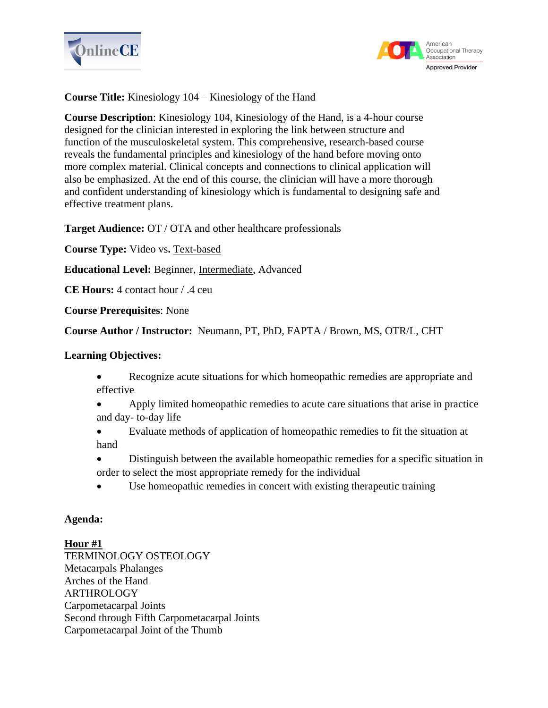



**Course Title:** Kinesiology 104 – Kinesiology of the Hand

**Course Description**: Kinesiology 104, Kinesiology of the Hand, is a 4-hour course designed for the clinician interested in exploring the link between structure and function of the musculoskeletal system. This comprehensive, research-based course reveals the fundamental principles and kinesiology of the hand before moving onto more complex material. Clinical concepts and connections to clinical application will also be emphasized. At the end of this course, the clinician will have a more thorough and confident understanding of kinesiology which is fundamental to designing safe and effective treatment plans.

**Target Audience:** OT / OTA and other healthcare professionals

**Course Type:** Video vs**.** Text-based

**Educational Level:** Beginner, Intermediate, Advanced

**CE Hours:** 4 contact hour / .4 ceu

**Course Prerequisites**: None

**Course Author / Instructor:** Neumann, PT, PhD, FAPTA / Brown, MS, OTR/L, CHT

### **Learning Objectives:**

- Recognize acute situations for which homeopathic remedies are appropriate and effective
- Apply limited homeopathic remedies to acute care situations that arise in practice and day- to-day life
- Evaluate methods of application of homeopathic remedies to fit the situation at hand
- Distinguish between the available homeopathic remedies for a specific situation in order to select the most appropriate remedy for the individual
- Use homeopathic remedies in concert with existing therapeutic training

### **Agenda:**

### **Hour #1**

TERMINOLOGY OSTEOLOGY Metacarpals Phalanges Arches of the Hand ARTHROLOGY Carpometacarpal Joints Second through Fifth Carpometacarpal Joints Carpometacarpal Joint of the Thumb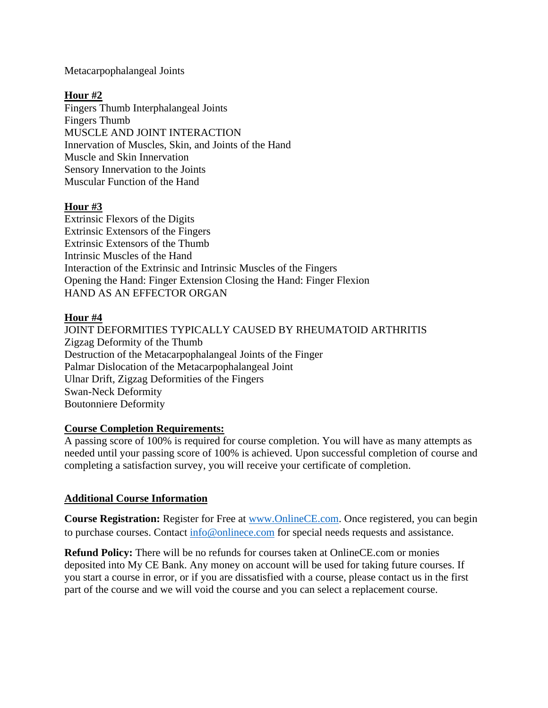Metacarpophalangeal Joints

# **Hour #2**

Fingers Thumb Interphalangeal Joints Fingers Thumb MUSCLE AND JOINT INTERACTION Innervation of Muscles, Skin, and Joints of the Hand Muscle and Skin Innervation Sensory Innervation to the Joints Muscular Function of the Hand

## **Hour #3**

Extrinsic Flexors of the Digits Extrinsic Extensors of the Fingers Extrinsic Extensors of the Thumb Intrinsic Muscles of the Hand Interaction of the Extrinsic and Intrinsic Muscles of the Fingers Opening the Hand: Finger Extension Closing the Hand: Finger Flexion HAND AS AN EFFECTOR ORGAN

### **Hour #4**

JOINT DEFORMITIES TYPICALLY CAUSED BY RHEUMATOID ARTHRITIS Zigzag Deformity of the Thumb Destruction of the Metacarpophalangeal Joints of the Finger Palmar Dislocation of the Metacarpophalangeal Joint Ulnar Drift, Zigzag Deformities of the Fingers Swan-Neck Deformity Boutonniere Deformity

### **Course Completion Requirements:**

A passing score of 100% is required for course completion. You will have as many attempts as needed until your passing score of 100% is achieved. Upon successful completion of course and completing a satisfaction survey, you will receive your certificate of completion.

## **Additional Course Information**

**Course Registration:** Register for Free at [www.OnlineCE.com.](http://www.onlinece.com/) Once registered, you can begin to purchase courses. Contact [info@onlinece.com](mailto:info@onlinece.com) for special needs requests and assistance.

**Refund Policy:** There will be no refunds for courses taken at OnlineCE.com or monies deposited into My CE Bank. Any money on account will be used for taking future courses. If you start a course in error, or if you are dissatisfied with a course, please contact us in the first part of the course and we will void the course and you can select a replacement course.